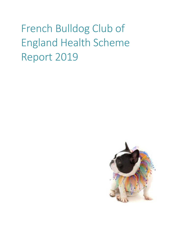# French Bulldog Club of England Health Scheme Report 2019

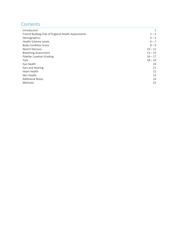## Contents

| Introduction                                      | 1         |
|---------------------------------------------------|-----------|
| French Bulldog Club of England Health Assessments | $2 - 3$   |
| Demographics                                      | $4 - 5$   |
| Health Scheme Levels                              | $6 - 7$   |
| <b>Body Condition Score</b>                       | $8 - 9$   |
| Nostril Stenosis                                  | $10 - 12$ |
| <b>Breathing Assessment</b>                       | $13 - 15$ |
| Patellar Luxation Grading                         | $16 - 17$ |
| Tails                                             | $18 - 19$ |
| Eye Health                                        | 20        |
| Ears and Hearing                                  | 21        |
| Heart Health                                      | 22        |
| Skin Health                                       | 23        |
| <b>Additional Notes</b>                           | 24        |
| Methods                                           | 25        |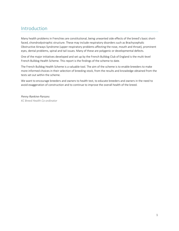#### Introduction

Many health problems in Frenchies are constitutional, being unwanted side effects of the breed's basic shortfaced, chondrodystrophic structure. These may include respiratory disorders such as Brachycephalic Obstructive Airways Syndrome (upper respiratory problems affecting the nose, mouth and throat), prominent eyes, dental problems, spinal and tail issues. Many of these are polygenic or developmental defects.

One of the major initiatives developed and set up by the French Bulldog Club of England is the multi-level French Bulldog Health Scheme. This report is the findings of the scheme to date.

The French Bulldog Health Scheme is a valuable tool. The aim of the scheme is to enable breeders to make more informed choices in their selection of breeding stock, from the results and knowledge obtained from the tests set out within the scheme.

We want to encourage breeders and owners to health test, to educate breeders and owners in the need to avoid exaggeration of construction and to continue to improve the overall health of the breed.

*Penny Rankine-Parsons KC Breed Health Co-ordinator*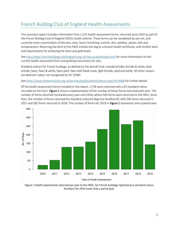# French Bulldog Club of England Health Assessments

This summary report includes information from 2,151 health assessment forms, returned since 2010 as part of the French Bulldog Club of England (FBCE) health scheme. These forms can be completed by any vet, and currently covers examination of the ears, eyes, heart, breathing, nostrils, skin, patellas, spines, tails and temperament. Returning the form to the FBCE entitles the dog to a bronze health certificate, with further tests and requirements for achieving the silver and gold levels.

Se[e http://www.frenchbulldogclubofengland.org.uk/how-to-participate.html](http://www.frenchbulldogclubofengland.org.uk/how-to-participate.html) for more information on the current health assessment form and grading instructions for vets.

Standard colours for French bulldogs, as defined by the Kennel Club, include brindle, brindle & white, dark brindle, fawn, fawn & white, fawn pied, fawn with black mask, light brindle, pied and white. All other colours are deemed 'colour not recognized by KC' (CNR).

Se[e https://www.thekennelclub.org.uk/services/public/breed/colours.aspx?id=4088](https://www.thekennelclub.org.uk/services/public/breed/colours.aspx?id=4088) for further details.

Of the health assessment forms included in this report, 1,756 were returned with a KC standard colour recorded on the form. Figure 1 shows a representation of the number of these forms returned each year. The number of forms returned increased every year until 2016, where 344 forms were returned to the FBCE. Since then, the number of forms returned for standard coloured dogs has levelled off, with 260 forms returned in 2017 and 282 forms returned in 2018. The number of forms for 2019 in Figure 1 represents only a partial year.



Figure 1 Health assessments returned per year to the FBCE, for French bulldogs reported as a standard colour. Numbers for 2019 cover only a partial year.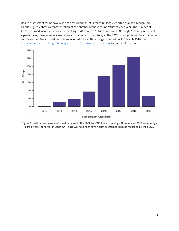Health assessment forms have also been returned for 395 French bulldogs reported as a non-recognised colour. Figure 2 shows a representation of the number of these forms returned each year. The number of forms returned increased each year, peaking in 2018 with 123 forms returned. Although 2019 only represents a partial year, these numbers are unlikely to increase in the future, as the FBCE no longer issues health scheme certificates for French bulldogs of unrecognised colour. This change occurred on 31<sup>st</sup> March 2019 (see <http://www.frenchbulldogclubofengland.org.uk/how-to-participate.html> for more information).



Figure 2 Health assessments returned per year to the FBCE for CNR French bulldogs. Numbers for 2019 cover only a partial year. From March 2019, CNR dogs will no longer have health assessment results recorded by the FBCE.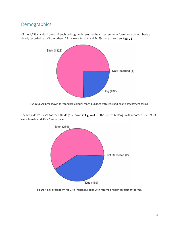### Demographics



Of the 1,756 standard colour French bulldogs with returned health assessment forms, one did not have a clearly recorded sex. Of the others, 75.4% were female and 24.6% were male (see Figure 3).

Figure 3 Sex breakdown for standard colour French bulldogs with returned health assessment forms.



The breakdown by sex for the CNR dogs is shown in Figure 4. Of the French bulldogs with recorded sex, 59.5% were female and 40.5% were male.

Figure 4 Sex breakdown for CNR French bulldogs with returned health assessment forms.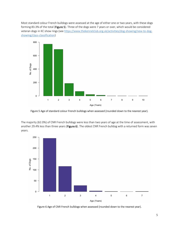Most standard colour French bulldogs were assessed at the age of either one or two years, with these dogs forming 83.3% of the total (Figure 5). Three of the dogs were 7 years or over, which would be considered veteran dogs in KC show rings (see [https://www.thekennelclub.org.uk/activities/dog-showing/new-to-dog](https://www.thekennelclub.org.uk/activities/dog-showing/new-to-dog-showing/class-classification)[showing/class-classification\)](https://www.thekennelclub.org.uk/activities/dog-showing/new-to-dog-showing/class-classification)



Figure 5 Age of standard colour French bulldogs when assessed (rounded down to the nearest year).

The majority (62.0%) of CNR French bulldogs were less than two years of age at the time of assessment, with another 29.4% less than three years (Figure 6). The oldest CNR French bulldog with a returned form was seven years.



Figure 6 Age of CNR French bulldogs when assessed (rounded down to the nearest year).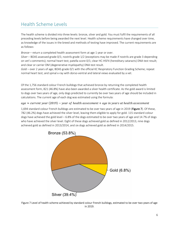# Health Scheme Levels

The health scheme is divided into three levels: bronze, silver and gold. You must fulfil the requirements of all preceding levels before being awarded the next level. Health scheme requirements have changed over time, as knowledge of the issues in the breed and methods of testing have improved. The current requirements are as follows:

*Bronze* – return a completed health assessment form at age 1 year or over.

*Silver* – BOAS assessed grade 0/1; nostrils grade 1/2 (exceptions may be made if nostrils are grade 3 depending on vet's comments); normal heart test; patella score 0/1; clear HC-HSF4 (hereditary cataracts) DNA test result; and clear or carrier DM (degenerative myelopathy) DNA test result.

*Gold* – over 2 years of age; BOAS grade 0/1 with the official KC Respiratory Function Grading Scheme; repeat normal heart test; and spinal x-ray with dorso-ventral and lateral views evaluated by a vet.

Of the 1,756 standard colour French bulldogs that achieved bronze by returning the completed health assessment form, 821 (46.8%) have also been awarded a silver health certificate. As the gold award is limited to dogs over two years of age, only dogs predicted to currently be over two years of age should be included in calculations. The current age of each dog was estimated using the formula:

#### $age \approx current$  year (2019) – year of health assessment + age in years at health assessment

1,694 standard colour French bulldogs are estimated to be over two years of age in 2019 (Figure 7). Of these, 782 (46.2%) dogs have achieved the silver level, leaving them eligible to apply for gold. 115 standard colour dogs have achieved the gold level – 6.8% of the dogs estimated to be over two years of age and 14.7% of dogs who have achieved the silver level. Eight of these dogs achieved gold as defined in 2012/2013, nine dogs achieved gold as defined in 2013/2014, and six dogs achieved gold as defined in 2014/2015.



Figure 7 Level of health scheme achieved by standard colour French bulldogs, estimated to be over two years of age in 2019.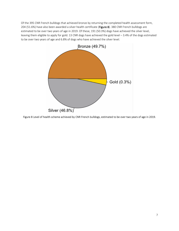Of the 395 CNR French bulldogs that achieved bronze by returning the completed health assessment form, 204 (51.6%) have also been awarded a silver health certificate (Figure 8). 380 CNR French bulldogs are estimated to be over two years of age in 2019. Of these, 191 (50.3%) dogs have achieved the silver level, leaving them eligible to apply for gold. 13 CNR dogs have achieved the gold level – 3.4% of the dogs estimated to be over two years of age and 6.8% of dogs who have achieved the silver level.



Figure 8 Level of health scheme achieved by CNR French bulldogs, estimated to be over two years of age in 2019.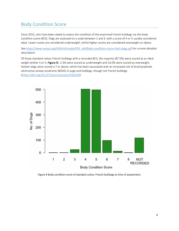### Body Condition Score

Since 2015, vets have been asked to assess the condition of the examined French bulldogs via the body condition score (BCS). Dogs are assessed on a scale between 1 and 9, with a score of 4 or 5 usually considered ideal. Lower scores are considered underweight, whilst higher scores are considered overweight or obese.

Se[e https://www.wsava.org/WSAVA/media/PDF\\_old/Body-condition-score-chart-dogs.pdf](https://www.wsava.org/WSAVA/media/PDF_old/Body-condition-score-chart-dogs.pdf) for a more detailed description.

Of those standard colour French bulldogs with a recorded BCS, the majority (87.5%) were scored at an ideal weight (either 4 or 5; Figure 9). 2.3% were scored as underweight and 10.0% were scored as overweight. Sixteen dogs were scored a 7 or above, which has been associated with an increased risk of brachycephalic obstructive airway syndrome (BOAS) in pugs and bulldogs, though not French bulldogs [\(https://doi.org/10.1371/journal.pone.0181928\)](https://doi.org/10.1371/journal.pone.0181928).



Figure 9 Body condition score of standard colour French bulldogs at time of assessment.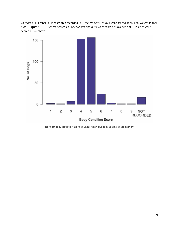Of those CNR French bulldogs with a recorded BCS, the majority (88.8%) were scored at an ideal weight (either 4 or 5; Figure 10). 2.9% were scored as underweight and 8.3% were scored as overweight. Five dogs were scored a 7 or above.



Figure 10 Body condition score of CNR French bulldogs at time of assessment.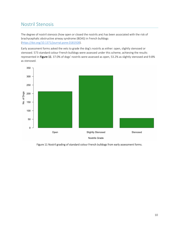# Nostril Stenosis

The degree of nostril stenosis (how open or closed the nostrils are) has been associated with the risk of brachycephalic obstructive airway syndrome (BOAS) in French bulldogs [\(https://doi.org/10.1371/journal.pone.0181928\)](https://doi.org/10.1371/journal.pone.0181928).

Early assessment forms asked the vets to grade the dog's nostrils as either: open, slightly stenosed or stenosed. 573 standard colour French bulldogs were assessed under this scheme, achieving the results represented in Figure 11. 37.0% of dogs' nostrils were assessed as open, 53.2% as slightly stenosed and 9.8% as stenosed.



Figure 11 Nostril grading of standard colour French bulldogs from early assessment forms.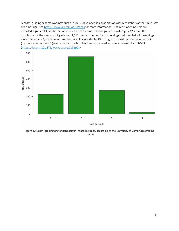A nostril grading scheme was introduced in 2015, developed in collaboration with researchers at the University of Cambridge (see<https://www.vet.cam.ac.uk/boas> for more information). The most open nostrils are awarded a grade of 1, whilst the most stenosed/closed nostrils are graded as a 4. Figure 12 shows the distribution of the new nostril grades for 1,173 standard colour French bulldogs. Just over half of these dogs were graded as a 2, sometimes described as mild stenosis. 24.5% of dogs had nostrils graded as either a 3 (moderate stenosis) or 4 (severe stenosis), which has been associated with an increased risk of BOAS [\(https://doi.org/10.1371/journal.pone.0181928\)](https://doi.org/10.1371/journal.pone.0181928).



Figure 12 Nostril grading of standard colour French bulldogs, according to the University of Cambridge grading scheme.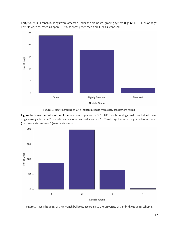

Forty-four CNR French bulldogs were assessed under the old nostril grading system (Figure 13). 54.5% of dogs' nostrils were assessed as open, 40.9% as slightly stenosed and 4.5% as stenosed.

#### Figure 13 Nostril grading of CNR French bulldogs from early assessment forms.

Figure 14 shows the distribution of the new nostril grades for 351 CNR French bulldogs. Just over half of these dogs were graded as a 2, sometimes described as mild stenosis. 19.1% of dogs had nostrils graded as either a 3 (moderate stenosis) or 4 (severe stenosis).



Figure 14 Nostril grading of CNR French bulldogs, according to the University of Cambridge grading scheme.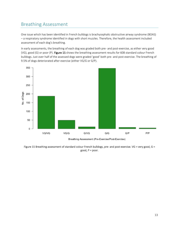#### Breathing Assessment

One issue which has been identified in French bulldogs is brachycephalic obstructive airway syndrome (BOAS) – a respiratory syndrome identified in dogs with short muzzles. Therefore, the health assessment included assessment of each dog's breathing.

In early assessments, the breathing of each dog was graded both pre- and post-exercise, as either very good (VG), good (G) or poor (P). Figure 15 shows the breathing assessment results for 608 standard colour French bulldogs. Just over half of the assessed dogs were graded 'good' both pre- and post-exercise. The breathing of 9.5% of dogs deteriorated after exercise (either VG/G or G/P).



Breathing Assessment (Pre-Exercise/Post-Exercise)

Figure 15 Breathing assessment of standard colour French bulldogs, pre- and post-exercise. VG = very good, G = good, P = poor.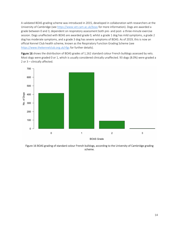A validated BOAS grading scheme was introduced in 2015, developed in collaboration with researchers at the University of Cambridge (see<https://www.vet.cam.ac.uk/boas> for more information). Dogs are awarded a grade between 0 and 3, dependent on respiratory assessment both pre- and post- a three-minute exercise session. Dogs unaffected with BOAS are awarded grade 0, whilst a grade 1 dog has mild symptoms, a grade 2 dog has moderate symptoms, and a grade 3 dog has severe symptoms of BOAS. As of 2019, this is now an official Kennel Club health scheme, known as the Respiratory Function Grading Scheme (see <https://www.thekennelclub.org.uk/rfgs> for further details).

Figure 16 shows the distribution of BOAS grades of 1,162 standard colour French bulldogs assessed by vets. Most dogs were graded 0 or 1, which is usually considered clinically unaffected. 93 dogs (8.0%) were graded a 2 or 3 – clinically affected.



Figure 16 BOAS grading of standard colour French bulldogs, according to the University of Cambridge grading scheme.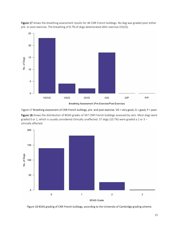

Figure 17 shows the breathing assessment results for 46 CNR French bulldogs. No dog was graded poor either pre- or post-exercise. The breathing of 8.7% of dogs deteriorated after exercise (VG/G).



Figure 18 shows the distribution of BOAS grades of 347 CNR French bulldogs assessed by vets. Most dogs were graded 0 or 1, which is usually considered clinically unaffected. 37 dogs (10.7%) were graded a 2 or 3 clinically affected.



Figure 18 BOAS grading of CNR French bulldogs, according to the University of Cambridge grading scheme.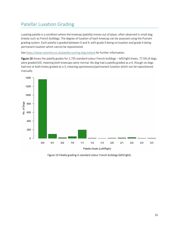# Patellar Luxation Grading

Luxating patella is a condition where the kneecap (patella) moves out of place, often observed in small dog breeds such as French bulldogs. The degree of luxation of each kneecap can be assessed using the Putnam grading system. Each patella is graded between 0 and 4, with grade 0 being no luxation and grade 4 being permanent luxation which cannot be repositioned.

Se[e https://www.vetortho.co.uk/patella-scoring-dog-ireland](https://www.vetortho.co.uk/patella-scoring-dog-ireland) for further information.

Figure 19 shows the patella grades for 1,755 standard colour French bulldogs - left/right knees. 77.5% of dogs were graded 0/0, meaning both kneecaps were normal. No dog had a patella graded as a 4, though six dogs had one or both knees graded as a 3, meaning spontaneous/permanent luxation which can be repositioned manually.



Figure 19 Patella grading in standard colour French bulldogs (left/right).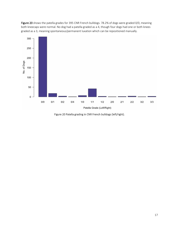Figure 20 shows the patella grades for 395 CNR French bulldogs. 78.2% of dogs were graded 0/0, meaning both kneecaps were normal. No dog had a patella graded as a 4, though four dogs had one or both knees graded as a 3, meaning spontaneous/permanent luxation which can be repositioned manually.



Figure 20 Patella grading in CNR French bulldogs (left/right).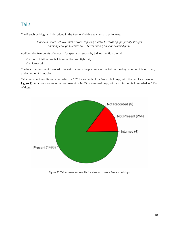#### Tails

The French bulldog tail is described in the Kennel Club breed standard as follows:

*Undocked, short, set low, thick at root, tapering quickly towards tip, preferably straight, and long enough to cover anus. Never curling back nor carried gaily.*

Additionally, two points of concern for special attention by judges mention the tail:

- (1) Lack of tail, screw tail, inverted tail and tight tail,
- (2) Screw tail.

The health assessment form asks the vet to assess the presence of the tail on the dog, whether it is inturned, and whether it is mobile.

Tail assessment results were recorded for 1,751 standard colour French bulldogs, with the results shown in Figure 21. A tail was not recorded as present in 14.5% of assessed dogs, with an inturned tail recorded in 0.2% of dogs.



Figure 21 Tail assessment results for standard colour French bulldogs.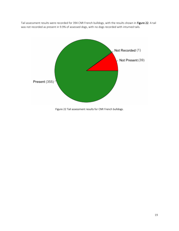Tail assessment results were recorded for 394 CNR French bulldogs, with the results shown in Figure 22. A tail was not recorded as present in 9.9% of assessed dogs, with no dogs recorded with inturned tails.



Figure 22 Tail assessment results for CNR French bulldogs.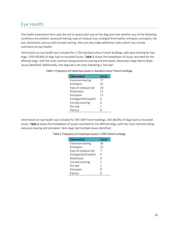# Eye Health

The health assessment form asks the vet to assess each eye on the dog and note whether any of the following conditions are present: excessive tearing, eyes of unequal size, enlarged third eyelid, entropion, ectropion, dry eye, distichiasis, pannus and corneal scarring. Vets can also make additional notes which may include comments on eye health.

Information on eye health was included for 1,754 standard colour French bulldogs, with data missing for two dogs. 1593 (90.8%) of dogs had no recorded issues. Table 1 shows the breakdown of issues recorded for the affected dogs, with the most common being excessive tearing and entropion. Seventeen dogs had multiple issues identified. Additionally, one dog had a vet note indicating a 'lost eye'.

| Observation              | Count |
|--------------------------|-------|
| <b>Excessive tearing</b> | 77    |
| Entropion                | 42    |
| Eyes of unequal size     | 20    |
| Distichiasis             | 17    |
| Ectropion                | 11    |
| Enlarged third eyelid    | 6     |
| Corneal scarring         | 4     |
| Dry eye                  | 1     |
| Pannus                   |       |
|                          |       |

#### Table 1 Frequency of noted eye issues in standard colour French bulldogs.

Information on eye health was included for 395 CNR French bulldogs. 343 (86.8%) of dogs had no recorded issues. Table 2 shows the breakdown of issues recorded for the affected dogs, with the most common being excessive tearing and entropion. Nine dogs had multiple issues identified.

#### Table 2 Frequency of noted eye issues in CNR French bulldogs.

| Observation              | Count         |
|--------------------------|---------------|
| <b>Excessive tearing</b> | 30            |
| Entropion                | 15            |
| Eyes of unequal size     | 7             |
| Enlarged third eyelid    | 5             |
| Distichiasis             | 3             |
| Corneal scarring         | $\mathcal{P}$ |
| Dry eye                  | 1             |
| Ectropion                | ∩             |
| Pannus                   |               |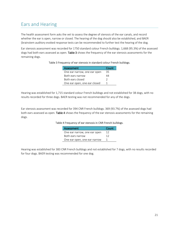### Ears and Hearing

The health assessment form asks the vet to assess the degree of stenosis of the ear canals, and record whether the ear is open, narrow or closed. The hearing of the dog should also be established, and BAER (brainstem auditory evoked response tests can be recommended to further test the hearing of the dog.

Ear stenosis assessment was recorded for 1750 standard colour French bulldogs. 1,668 (95.3%) of the assessed dogs had both ears assessed as open. Table 3 shows the frequency of the ear stenosis assessments for the remaining dogs.

| <b>Assessment</b>            | Count |
|------------------------------|-------|
| One ear narrow, one ear open | 35    |
| Both ears narrow             | 44    |
| Both ears closed             | 2     |
| One ear open, one ear closed |       |

#### Table 3 Frequency of ear stenosis in standard colour French bulldogs.

Hearing was established for 1,715 standard colour French bulldogs and not established for 38 dogs, with no results recorded for three dogs. BAER testing was not recommended for any of the dogs.

Ear stenosis assessment was recorded for 394 CNR French bulldogs. 369 (93.7%) of the assessed dogs had both ears assessed as open. Table 4 shows the frequency of the ear stenosis assessments for the remaining dogs.

#### Table 4 Frequency of ear stenosis in CNR French bulldogs.

| <b>Assessment</b>            | Count |
|------------------------------|-------|
| One ear narrow, one ear open | 12    |
| Both ears narrow             | 12    |
| One ear open, one ear narrow |       |

Hearing was established for 383 CNR French bulldogs and not established for 7 dogs, with no results recorded for four dogs. BAER testing was recommended for one dog.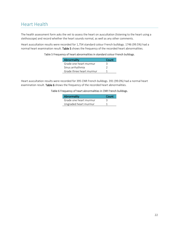### Heart Health

The health assessment form asks the vet to assess the heart on auscultation (listening to the heart using a stethoscope) and record whether the heart sounds normal, as well as any other comments.

Heart auscultation results were recorded for 1,754 standard colour French bulldogs. 1746 (99.5%) had a normal heart examination result. Table 5 shows the frequency of the recorded heart abnormalities.

| Table 5 Frequency of heart abnormalities in standard colour French bulldogs. |  |
|------------------------------------------------------------------------------|--|
|------------------------------------------------------------------------------|--|

| Abnormality              | Count    |
|--------------------------|----------|
| Grade one heart murmur   | ٦        |
| Sinus arrhythmia         | <u>່</u> |
| Grade three heart murmur |          |

Heart auscultation results were recorded for 395 CNR French bulldogs. 391 (99.0%) had a normal heart examination result. Table 6 shows the frequency of the recorded heart abnormalities.

Table 6 Frequency of heart abnormalities in CNR French bulldogs.

| Abnormality            | Count |
|------------------------|-------|
| Grade one heart murmur |       |
| Ungraded heart murmur  |       |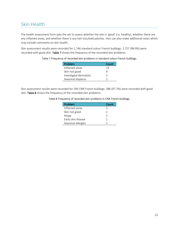### Skin Health

The health assessment form asks the vet to assess whether the skin is 'good' (i.e. healthy), whether there are any inflamed areas, and whether there is any hair loss/bald patches. Vets can also make additional notes which may include comments on skin health.

Skin assessment results were recorded for 1,746 standard colour French bulldogs. 1,727 (98.9%) were recorded with good skin. Table 7 shows the frequency of the recorded skin problems.

Table 7 Frequency of recorded skin problems in standard colour French bulldogs.

| Problem                 | Count |
|-------------------------|-------|
| Inflamed areas          | 13    |
| Skin not good           |       |
| Interdigital dermatitis | 1     |
| Seasonal alopecia       |       |

Skin assessment results were recorded for 395 CNR French bulldogs. 386 (97.7%) were recorded with good skin. Table 8 shows the frequency of the recorded skin problems.

#### Table 8 Frequency of recorded skin problems in CNR French bulldogs.

| Problem            | Count |
|--------------------|-------|
| Inflamed areas     | ੨     |
| Skin not good      | 2     |
| Atopy              | 2     |
| Early skin disease |       |
| Seasonal allergies |       |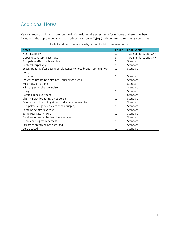# Additional Notes

Vets can record additional notes on the dog's health on the assessment form. Some of these have been included in the appropriate health related sections above. Table 9 includes are the remaining comments.

| <b>Notes</b>                                                          | Count          | <b>Coat Colour</b>    |
|-----------------------------------------------------------------------|----------------|-----------------------|
| Nostril surgery                                                       | 3              | Two standard, one CNR |
| Upper respiratory tract noise                                         | 3              | Two standard, one CNR |
| Soft palate affecting breathing                                       | $\overline{2}$ | Standard              |
| Bilateral carpal valgus                                               | 1              | Standard              |
| Excess panting after exercise; reluctance to nose breath; some airway | 1              | Standard              |
| noise                                                                 |                |                       |
| Extra teeth                                                           | 1              | Standard              |
| Increased breathing noise not unusual for breed                       | 1              | Standard              |
| Mild noisy breathing                                                  | 1              | Standard              |
| Mild upper respiratory noise                                          | 1              | Standard              |
| <b>Noisy</b>                                                          | 1              | Standard              |
| Possible block vertebra                                               | 1              | Standard              |
| Slightly noisy breathing on exercise                                  | 1              | Standard              |
| Open mouth breathing at rest and worse on exercise                    | 1              | Standard              |
| Soft palate surgery; cruciate repair surgery                          | 1              | Standard              |
| Some noise after exercise                                             | 1              | Standard              |
| Some respiratory noise                                                | 1              | Standard              |
| Excellent – one of the best I've ever seen                            | 1              | Standard              |
| Some chaffing from harness                                            | 1              | Standard              |
| Stressed; breathing not assessed                                      | 1              | Standard              |
| Very excited                                                          |                | Standard              |

#### Table 9 Additional notes made by vets on health assessment forms.